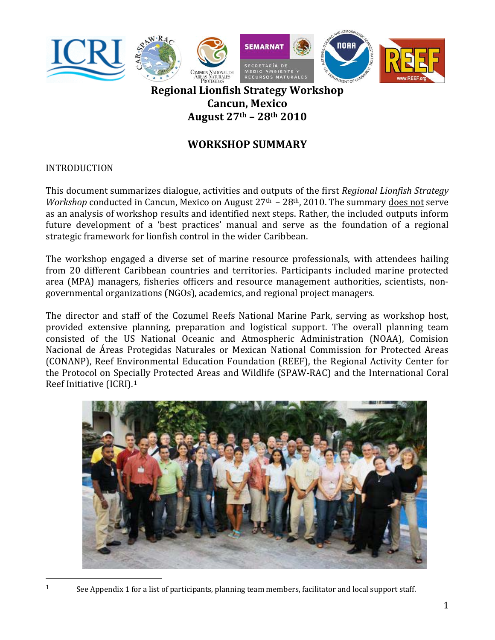

**August 27th – 28th 2010**

# **WORKSHOP SUMMARY**

## INTRODUCTION

This document summarizes dialogue, activities and outputs of the first *Regional Lionfish Strategy Workshop* conducted in Cancun, Mexico on August 27<sup>th</sup> – 28<sup>th</sup>, 2010. The summary does not serve as an analysis of workshop results and identified next steps. Rather, the included outputs inform future development of a 'best practices' manual and serve as the foundation of a regional strategic framework for lionfish control in the wider Caribbean.

The workshop engaged a diverse set of marine resource professionals, with attendees hailing from 20 different Caribbean countries and territories. Participants included marine protected area (MPA) managers, fisheries officers and resource management authorities, scientists, non‐ governmental organizations (NGOs), academics, and regional project managers.

The director and staff of the Cozumel Reefs National Marine Park, serving as workshop host, provided extensive planning, preparation and logistical support. The overall planning team consisted of the US National Oceanic and Atmospheric Administration (NOAA), Comision Nacional de Áreas Protegidas Naturales or Mexican National Commission for Protected Areas (CONANP), Reef Environmental Education Foundation (REEF), the Regional Activity Center for the Protocol on Specially Protected Areas and Wildlife (SPAW‐RAC) and the International Coral Reef Initiative (ICRI).[1](#page-0-0)



<span id="page-0-0"></span><sup>1</sup> See Appendix 1 for a list of participants, planning team members, facilitator and local support staff.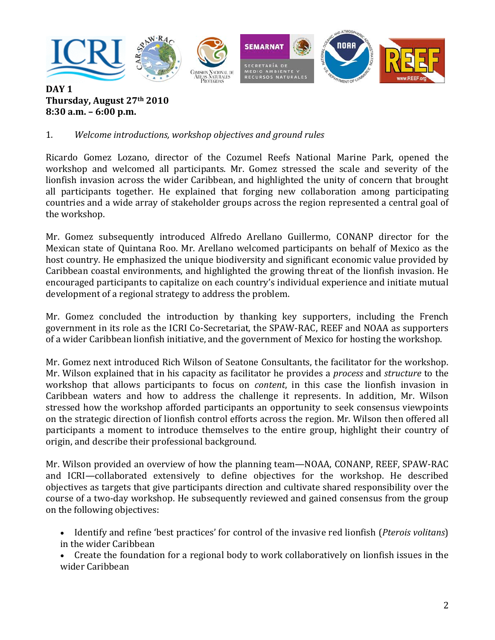

#### **DAY 1 Thursday, August 27th 2010 8: 30 a.m. – 6:00 p.m.**

## 1. *Welcome introductions, workshop objectives and ground rules*

Ricardo Gomez Lozano, director of the Cozumel Reefs National Marine Park, opened the workshop and welcomed all participants. Mr. Gomez stressed the scale and severity of the lionfish invasion across the wider Caribbean, and highlighted the unity of concern that brought all participants together. He explained that forging new collaboration among participating countries and a wide array of stakeholder groups across the region represented a central goal of the workshop.

Mr. Gomez subsequently introduced Alfredo Arellano Guillermo, CONANP director for the Mexican state of Quintana Roo. Mr. Arellano welcomed participants on behalf of Mexico as the host country. He emphasized the unique biodiversity and significant economic value provided by Caribbean coastal environments, and highlighted the growing threat of the lionfish invasion. He encouraged participants to capitalize on each country's individual experience and initiate mutual development of a regional strategy to address the problem.

Mr. Gomez concluded the introduction by thanking key supporters, including the French government in its role as the ICRI Co‐Secretariat, the SPAW‐RAC, REEF and NOAA as supporters of a wider Caribbean lionfish initiative, and the government of Mexico for hosting the workshop.

Mr. Gomez next introduced Rich Wilson of Seatone Consultants, the facilitator for the workshop. Mr. Wilson explained that in his capacity as facilitator he provides a *process* and *structure* to the workshop that allows participants to focus on *content*, in this case the lionfish invasion in Caribbean waters and how to address the challenge it represents. In addition, Mr. Wilson stressed how the workshop afforded participants an opportunity to seek consensus viewpoints on the strategic direction of lionfish control efforts across the region. Mr. Wilson then offered all participants a moment to introduce themselves to the entire group, highlight their country of origin, and describe their professional background.

Mr. Wilson provided an overview of how the planning team—NOAA, CONANP, REEF, SPAW‐RAC and ICRI—collaborated extensively to define objectives for the workshop. He described objectives as targets that give participants direction and cultivate shared responsibility over the course of a two-day workshop. He subsequently reviewed and gained consensus from the group on the following objectives:

• Identify and refine 'best practices' for control of the invasive red lionfish (*Pterois volitans*) in the wider Caribbean

• Create the foundation for a regional body to work collaboratively on lionfish issues in the wider Caribbean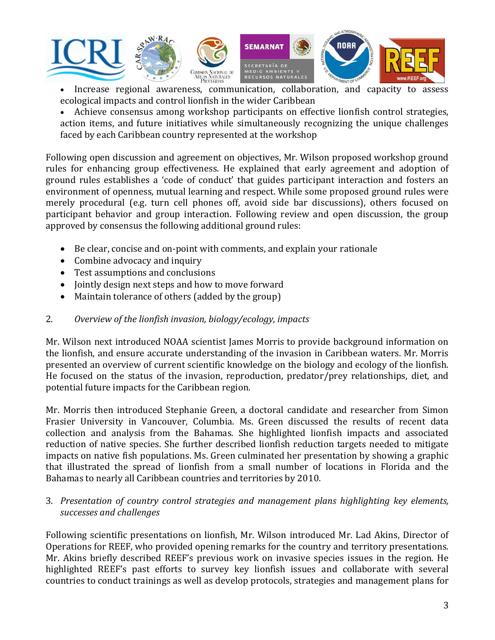

• Increase regional awareness, communication, collaboration, and capacity to assess ecological impacts and control lionfish in the wider Caribbean

• Achieve consensus among workshop participants on effective lionfish control strategies, action items, and future initiatives while simultaneously recognizing the unique challenges faced by each Caribbean country represented at the workshop

Following open discussion and agreement on objectives, Mr. Wilson proposed workshop ground rules for enhancing group effectiveness. He explained that early agreement and adoption of ground rules establishes a 'code of conduct' that guides participant interaction and fosters an environment of openness, mutual learning and respect. While some proposed ground rules were merely procedural (e.g. turn cell phones off, avoid side bar discussions), others focused on participant behavior and group interaction. Following review and open discussion, the group approved by consensus the following additional ground rules:

- Be clear, concise and on‐point with comments, and explain your rationale
- Combine advocacy and inquiry
- Test assumptions and conclusions
- Jointly design next steps and how to move forward
- Maintain tolerance of others (added by the group)

### 2. *Overview of the lionfish invasion, biology/ecology, impacts*

Mr. Wilson next introduced NOAA scientist James Morris to provide background information on the lionfish, and ensure accurate understanding of the invasion in Caribbean waters. Mr. Morris presented an overview of current scientific knowledge on the biology and ecology of the lionfish. He focused on the status of the invasion, reproduction, predator/prey relationships, diet, and potential future impacts for the Caribbean region.

Mr. Morris then introduced Stephanie Green, a doctoral candidate and researcher from Simon Frasier University in Vancouver, Columbia. Ms. Green discussed the results of recent data collection and analysis from the Bahamas. She highlighted lionfish impacts and associated reduction of native species. She further described lionfish reduction targets needed to mitigate impacts on native fish populations. Ms. Green culminated her presentation by showing a graphic that illustrated the spread of lionfish from a small number of locations in Florida and the Bahamas to nearly all Caribbean countries and territories by 2010.

#### *successes and challenges* 3. *Presentation of country control strategies and management plans highlighting key elements,*

Following scientific presentations on lionfish, Mr. Wilson introduced Mr. Lad Akins, Director of Operations for REEF, who provided opening remarks for the country and territory presentations. Mr. Akins briefly described REEF's previous work on invasive species issues in the region. He highlighted REEF's past efforts to survey key lionfish issues and collaborate with several countries to conduct trainings as well as develop protocols, strategies and management plans for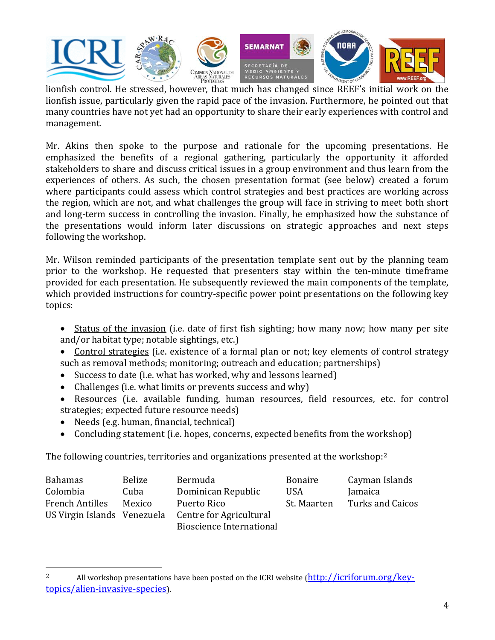

lionfish issue, particularly given the rapid pace of the invasion. Furthermore, he pointed out that many countries have not yet had an opportunity to share their early experiences with control and management.

Mr. Akins then spoke to the purpose and rationale for the upcoming presentations. He emphasized the benefits of a regional gathering, particularly the opportunity it afforded stakeholders to share and discuss critical issues in a group environment and thus learn from the experiences of others. As such, the chosen presentation format (see below) created a forum where participants could assess which control strategies and best practices are working across the region, which are not, and what challenges the group will face in striving to meet both short and long‐term success in controlling the invasion. Finally, he emphasized how the substance of the presentations would inform later discussions on strategic approaches and next steps following the workshop.

Mr. Wilson reminded participants of the presentation template sent out by the planning team prior to the workshop. He requested that presenters stay within the ten-minute timeframe provided for each presentation. He subsequently reviewed the main components of the template, which provided instructions for country-specific power point presentations on the following key topics:

- Status of the invasion (i.e. date of first fish sighting; how many now; how many per site and/or habitat type; notable sightings, etc.)
- Control strategies (i.e. existence of a formal plan or not; key elements of control strategy such as removal methods; monitoring; outreach and education; partnerships)
- Success to date (i.e. what has worked, why and lessons learned)
- Challenges (i.e. what limits or prevents success and why)
- Resources (i.e. available funding, human resources, field resources, etc. for control strategies; expected future resource needs)
- Needs (e.g. human, financial, technical)

• Concluding statement (i.e. hopes, concerns, expected benefits from the workshop)

The following countries, territories and organizations presented at the workshop: $2$ 

| <b>Bahamas</b>              | Belize | Bermuda                         | <b>Bonaire</b> | Cayman Islands   |
|-----------------------------|--------|---------------------------------|----------------|------------------|
| Colombia                    | Cuba   | Dominican Republic              | <b>USA</b>     | Jamaica          |
| <b>French Antilles</b>      | Mexico | Puerto Rico                     | St. Maarten    | Turks and Caicos |
| US Virgin Islands Venezuela |        | Centre for Agricultural         |                |                  |
|                             |        | <b>Bioscience International</b> |                |                  |

<sup>&</sup>lt;sup>2</sup> All workshop presentations have been posted on the ICRI website  $(\frac{http://icriforum.org/key-1}{http://icriforum.org/key-1})$ topics/alien‐invasive‐species).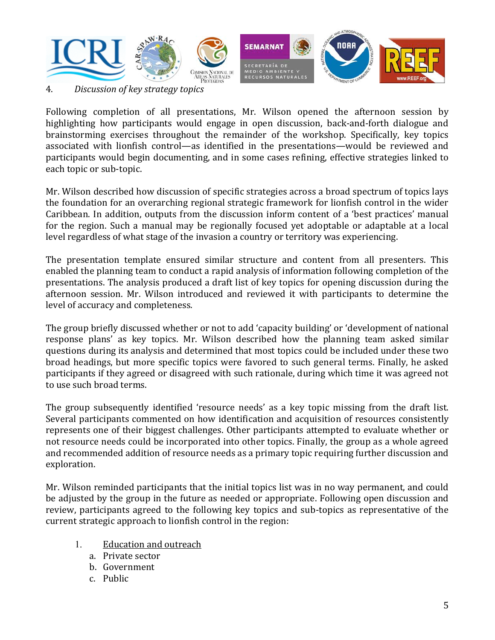

4. *Discussion of key strategy topics* 

Following completion of all presentations, Mr. Wilson opened the afternoon session by highlighting how participants would engage in open discussion, back-and-forth dialogue and brainstorming exercises throughout the remainder of the workshop. Specifically, key topics associated with lionfish control—as identified in the presentations—would be reviewed and participants would begin documenting, and in some cases refining, effective strategies linked to each topic or sub‐topic.

Mr. Wilson described how discussion of specific strategies across a broad spectrum of topics lays the foundation for an overarching regional strategic framework for lionfish control in the wider Caribbean. In addition, outputs from the discussion inform content of a 'best practices' manual for the region. Such a manual may be regionally focused yet adoptable or adaptable at a local level regardless of what stage of the invasion a country or territory was experiencing.

The presentation template ensured similar structure and content from all presenters. This enabled the planning team to conduct a rapid analysis of information following completion of the presentations. The analysis produced a draft list of key topics for opening discussion during the afternoon session. Mr. Wilson introduced and reviewed it with participants to determine the level of accuracy and completeness.

The group briefly discussed whether or not to add 'capacity building' or 'development of national response plans' as key topics. Mr. Wilson described how the planning team asked similar questions during its analysis and determined that most topics could be included under these two broad headings, but more specific topics were favored to such general terms. Finally, he asked participants if they agreed or disagreed with such rationale, during which time it was agreed not to use such broad terms.

The group subsequently identified 'resource needs' as a key topic missing from the draft list. Several participants commented on how identification and acquisition of resources consistently represents one of their biggest challenges. Other participants attempted to evaluate whether or not resource needs could be incorporated into other topics. Finally, the group as a whole agreed and recommended addition of resource needs as a primary topic requiring further discussion and exploration.

Mr. Wilson reminded participants that the initial topics list was in no way permanent, and could be adjusted by the group in the future as needed or appropriate. Following open discussion and review, participants agreed to the following key topics and sub-topics as representative of the current strategic approach to lionfish control in the region:

- 1. Education and outreach
	- a. Private sector
	- b. Govern ment
	- c. Public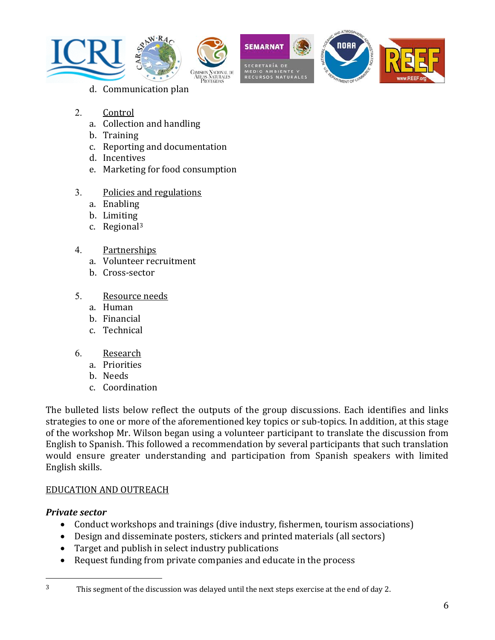









- 2. Control
	- a. Collection and handling
	- b. Training
	- c. Reporting and documentation
	- d. Incentives
	- e. Marketing for food consumption
- 3. Policies and regulations
	- a. Enabling
	- b. Limiting
	- c. Regional3
- 4. Partnerships
	- a. Volunteer rec ruitment
	- b. Cross‐sector
- 5. Resource needs
	- a. Human
	- b. Financial
	- c. Technical
- 6. Research
	- a. Priorities
	- b. Needs
	- c. Coordination

The bulleted lists below reflect the outputs of the group discussions. Each identifies and links strategies to one or more of the aforementioned key topics or sub-topics. In addition, at this stage of the workshop Mr. Wilson began using a volunteer participant to translate the discussion from English to Spanish. This followed a recommendation by several participants that such translation would ensure greater understanding and participation from Spanish speakers with limited English skills.

## EDUCATION AND OUTREACH

## *Private sector*

- Conduct workshops and trainings (dive industry, fishermen, tourism associations)
- Design and disseminate posters, stickers and printed materials (all sectors)
- Target and publish in select industry publications
- Request funding from private companies and educate in the process

<sup>&</sup>lt;sup>3</sup> This segment of the discussion was delayed until the next steps exercise at the end of day 2.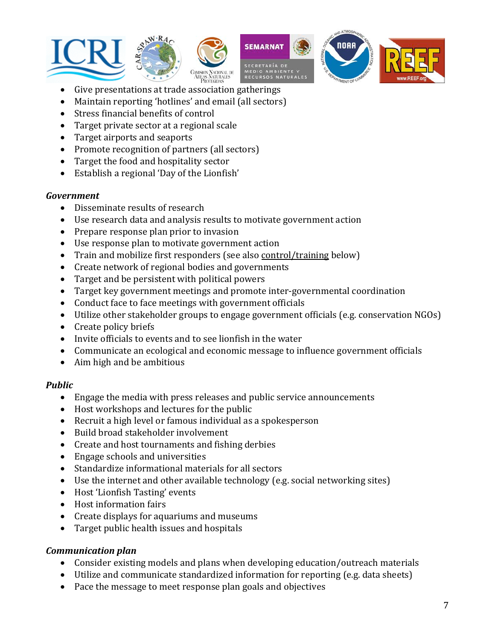









- Give presentations at trade associa tion gatherings
- Maintain reporting 'hotlines' and email (all sectors)
- Stress financial benefits of control
- Target private sector at a regional scale
- Target airports and seaports
- Promote recognition of partners (all sectors)
- Target the food and hospitality sector
- Establish a regional 'Day of the Lionfish'

### *Government*

- Disseminate results of research
- Use research data and analysis results to motivate government action
- Prepare response plan prior to invasion
- Use response plan to motivate government action
- Train and mobilize first responders (see also control/training below)
- Create network of regional bodies and governments
- Target and be persistent with political powers
- Target key government meetings and promote inter‐governmental coordination
- Conduct face to face meetings with government officials
- Utilize other stakeholder groups to engage government officials (e.g. conservation NGOs)
- Create policy briefs
- Invite officials to events and to see lionfish in the water
- Communicate an ecological and economic message to influence government officials
- Aim high and be ambitious

#### *Public*

- Engage the media with press releases and public service announcements
- Host workshops and lectures for the public
- Recruit a high level or famous individual as a spokesperson
- Build broad stakeholder involvement
- Create and host tournaments and fishing derbies
- Engage schools and universities
- Standardize informational materials for all sectors
- Use the internet and other available technology (e.g. social networking sites)
- Host 'Lionfish Tasting' events
- Host information fairs
- Create displays for aquariums and museums
- Target public health issues and hospitals •

## *Communication plan*

- Consider existing models and plans when developing education/outreach materials
- Utilize and communicate standardized information for reporting (e.g. data sheets)
- Pace the message to meet response plan goals and objectives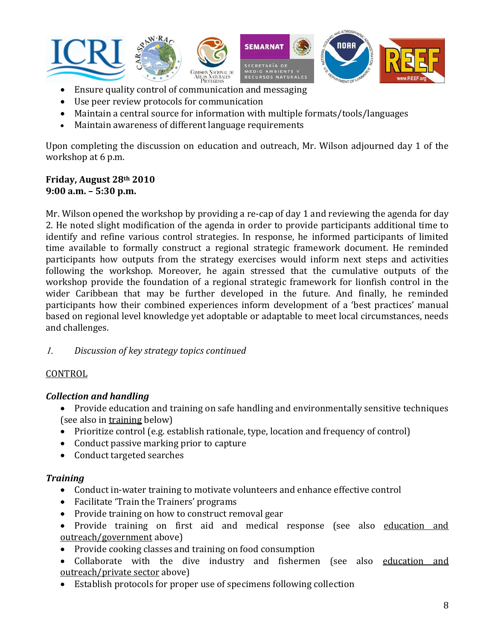

- Ensure quality control of communication and messaging
- Use peer review protocols for communication
- Maintain a central source for information with multiple formats/tools/languages
- Maintain awareness of different language requirements

Upon completing the discussion on education and outreach, Mr. Wilson adjourned day 1 of the workshop at 6 p.m.

#### **Friday, August 28th 2010 9:00 a.m. – 5:30 p.m.**

Mr. Wilson opened the workshop by providing a re-cap of day 1 and reviewing the agenda for day 2. He noted slight modification of the agenda in order to provide participants additional time to identify and refine various control strategies. In response, he informed participants of limited time available to formally construct a regional strategic framework document. He reminded participants how outputs from the strategy exercises would inform next steps and activities following the workshop. Moreover, he again stressed that the cumulative outputs of the workshop provide the foundation of a regional strategic framework for lionfish control in the wider Caribbean that may be further developed in the future. And finally, he reminded participants how their combined experiences inform development of a 'best practices' manual based on regional level knowledge yet adoptable or adaptable to meet local circumstances, needs and challenges.

1. *Disc ussion of key strategy topics continued*

## **CONTROL**

## *Collection and handling*

- Provide education and training on safe handling and environmentally sensitive techniques (see also in training below)
- Prioritize control (e.g. establish rationale, type, location and frequency of control)
- Conduct passive marking prior to capture
- Conduct targeted searches

## *Training*

- Conduct in-water training to motivate volunteers and enhance effective control
- Facilitate 'Train the Trainers' programs
- Provide training on how to construct removal gear
- Provide training on first aid and medical response (see also education and outreach/government above)
- Provide cooking classes and training on food consumption
- Collaborate with the dive industry and fishermen (see also education and outreach/private sector above)
- Establish protocols for proper use of specimens following collection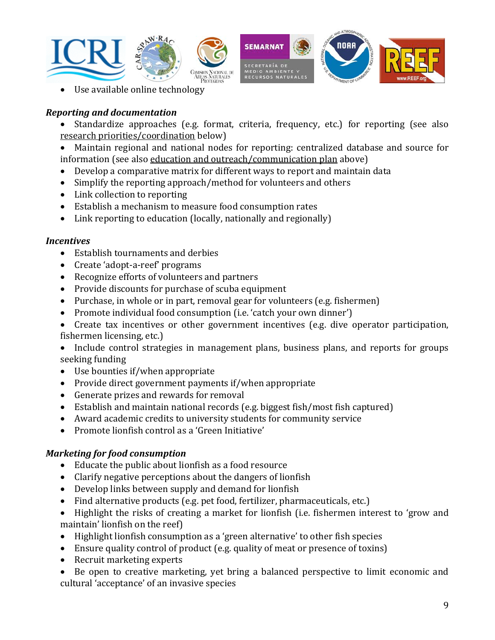

• Use available online technology

### *Reporting and documentation*

- Standardize approaches (e.g. format, criteria, frequency, etc.) for reporting (see also research priorities/coordination below)
- Maintain regional and national nodes for reporting: centralized database and source for information (see also <u>education and outreach/communication plan</u> above)
- Develop a comparative matrix for different ways to report and maintain data
- Simplify the reporting approach/method for volunteers and others
- Link collection to reporting
- Establish a mechanism to measure food consumption rates •
- Link reporting to education (locally, nationally and regionally)

#### *Incentives*

- Establish tournaments and derbies
- Create 'adopt‐a‐reef' programs
- Recognize efforts of volunteers and partners
- Provide discounts for purchase of scuba equipment
- Purchase, in whole or in part, removal gear for volunteers (e.g. fishermen)
- Promote individual food consumption (i.e. 'catch your own dinner')
- Create tax incentives or other government incentives (e.g. dive operator participation, fishermen licensing, etc.)
- Include control strategies in management plans, business plans, and reports for groups see king funding
- Use bounties if/when appropriate
- Provide direct government payments if/when appropriate
- Generate prizes and rewards for removal
- Establish and maintain national records (e.g. biggest fish/most fish captured)
- Award academic credits to university students for community service
- Promote lionfish control as a 'Green Initiative'

#### *Marketing for food consumption*

- Educate the public about lionfish as a food resource
- Clarify negative perceptions about the dangers of lionfish
- Develop links between supply and demand for lionfish
- Find alternative products (e.g. pet food, fertilizer, pharmaceuticals, etc.)
- Highlight the risks of creating a market for lionfish (i.e. fishermen interest to 'grow and mai ntain' lionfish on the reef)
- Highlight lionfish consumption as a 'green alternative' to other fish species
- Ensure quality control of product (e.g. quality of meat or presence of toxins)
- Recruit marketing experts
- Be open to creative marketing, yet bring a balanced perspective to limit economic and cultural 'acceptance' of an invasive species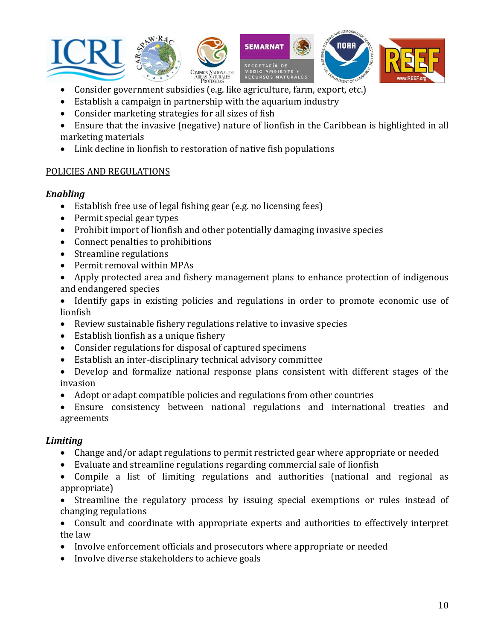

- Consider government subsidies (e.g. like agriculture, farm, export, etc.)
- Establish a campaign in partnership with the aquarium industry
- Consider marketing strategies for all sizes of fish
- Ensure that the invasive (negative) nature of lionfish in the Caribbean is highlighted in all mar keting materials
- Link decline in lionfish to restoration of native fish populations

#### POLICIES AND REGULATIONS

#### *Enabling*

- Establish free use of legal fishing gear (e.g. no licensing fees)
- Permit special gear types
- Prohibit import of lionfish and other potentially damaging invasive species
- Connect penalties to prohibitions
- Streamline regulations
- Permit removal within MPAs
- Apply protected area and fishery management plans to enhance protection of indigenous and endangered species
- Identify gaps in existing policies and regulations in order to promote economic use of lion fish
- Review sustainable fishery regulations relative to invasive species
- Establish lionfish as a unique fishery
- Consider regulations for disposal of captured specimens
- Establish an inter-disciplinary technical advisory committee
- Develop and formalize national response plans consistent with different stages of the inva sion
- Adopt or adapt compatible policies and regulations from other countries
- Ensure consistency between national regulations and international treaties and agreements

#### *Limiting*

- $\bullet$  Change and/or adapt regulations to permit restricted gear where appropriate or needed
- Evaluate and streamline regulations regarding commercial sale of lionfish
- Compile a list of limiting regulations and authorities (national and regional as appropriate)
- Streamline the regulatory process by issuing special exemptions or rules instead of changing regulations
- Consult and coordinate with appropriate experts and authorities to effectively interpret the law
- Involve enforcement officials and prosecutors where appropriate or needed
- Involve diverse stakeholders to achieve goals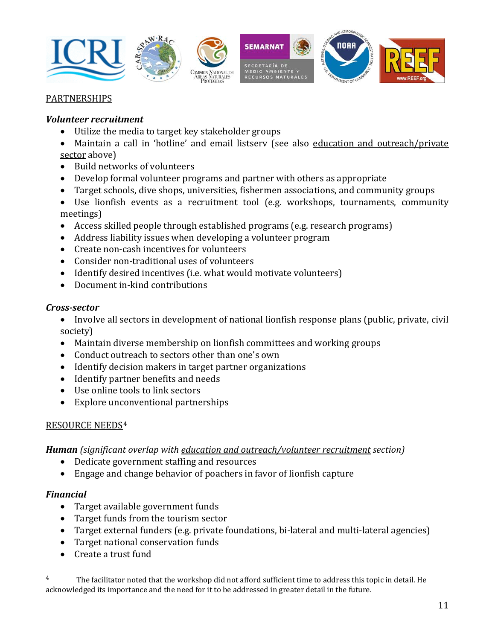

#### PARTNERSHIPS

#### *Volunteer recruitment*

- Utilize the media to target key stakeholder groups
- Maintain a call in 'hotline' and email listserv (see also education and outreach/private sector above)
- Build networks of volunteers
- Develop formal volunteer programs and partner with others as appropriate
- Target schools, dive shops, universities, fishermen associations, and community groups
- Use lionfish events as a recruitment tool (e.g. workshops, tournaments, community mee tings)
- Access skilled people through established programs (e.g. research programs)
- Address liability issues when developing a volunteer program
- Create non‐cash incentives for volunteers
- Consider non-traditional uses of volunteers
- Identify desired incentives (i.e. what would motivate volunteers)
- Document in-kind contributions

#### *Crosssector*

- Involve all sectors in development of national lionfish response plans (public, private, civil soc iety)
- Maintain diverse membership on lionfish committees and working groups
- Conduct outreach to sectors other than one's own
- Identify decision makers in target partner organizations
- Identify partner benefits and needs
- Use online tools to link sectors
- Explore unconventional partnerships

## RESOURCE NEEDS[4](#page-10-0)

*Human (significant overlap with education and outreach/volunteer recruitment section)*

- Dedicate government staffing and resources
- Engage and change behavior of poachers in favor of lionfish capture

#### *Financial*

- Target available government funds
- Target funds from the tourism sector
- Target external funders (e.g. private foundations, bi-lateral and multi-lateral agencies)
- Target national conservation funds
- Create a trust fund

<span id="page-10-0"></span><sup>&</sup>lt;sup>4</sup> The facilitator noted that the workshop did not afford sufficient time to address this topic in detail. He acknowledged its importance and the need for it to be addressed in greater detail in the future.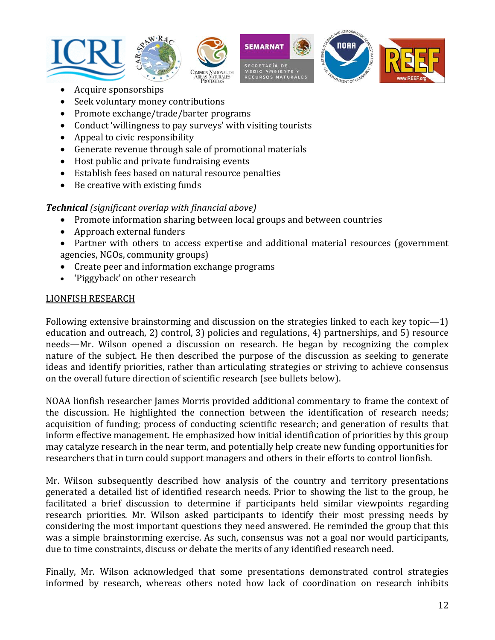









- Acquire sponsorships
- Seek voluntary money contributions
- Promote exchange/trade/barter programs
- Conduct 'willingness to pay surveys' with visiting tourists
- Appeal to civic responsibility
- Generate revenue through sale of promotional materials
- Host public and private fundraising events
- Establish fees based on natural resource penalties
- Be creative with existing funds

## *Technical (significant overlap with financial above)*

- Promote information sharing between local groups and between countries
- Approach external funders
- Partner with others to access expertise and additional material resources (government agencies, NGOs, community groups)
- Create peer and information exchange programs
- 'Piggyback' on other research

## LIONFISH RESEARCH

Following extensive brainstorming and discussion on the strategies linked to each key topic—1) education and outreach, 2) control, 3) policies and regulations, 4) partnerships, and 5) resource needs—Mr. Wilson opened a discussion on research. He began by recognizing the complex nature of the subject. He then described the purpose of the discussion as seeking to generate ideas and identify priorities, rather than articulating strategies or striving to achieve consensus on the overall future direction of scientific research (see bullets below).

NOAA lionfish researcher James Morris provided additional commentary to frame the context of the discussion. He highlighted the connection between the identification of research needs; acquisition of funding; process of conducting scientific research; and generation of results that inform effective management. He emphasized how initial identification of priorities by this group may catalyze research in the near term, and potentially help create new funding opportunities for researchers that in turn could support managers and others in their efforts to control lionfish.

Mr. Wilson subsequently described how analysis of the country and territory presentations generated a detailed list of identified research needs. Prior to showing the list to the group, he facilitated a brief discussion to determine if participants held similar viewpoints regarding research priorities. Mr. Wilson asked participants to identify their most pressing needs by considering the most important questions they need answered. He reminded the group that this was a simple brainstorming exercise. As such, consensus was not a goal nor would participants, due to time constraints, discuss or debate the merits of any identified research need.

Finally, Mr. Wilson acknowledged that some presentations demonstrated control strategies informed by research, whereas others noted how lack of coordination on research inhibits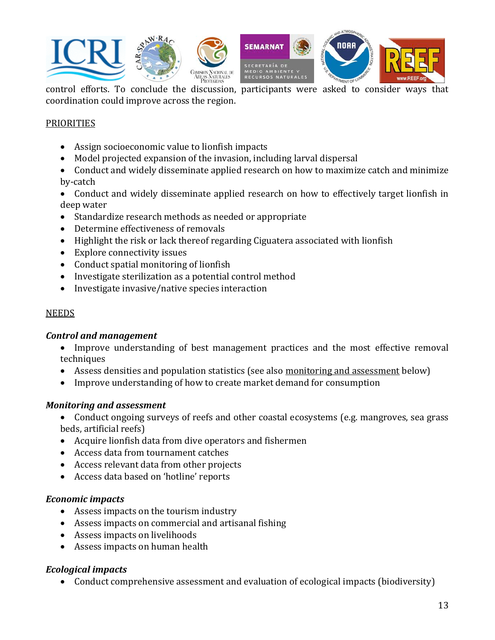

coordination could improve across the region.

#### **PRIORITIES**

- Assign socioeconomic value to lionfish impacts
- Model projected expansion of the invasion, including larval dispersal
- Conduct and widely disseminate applied research on how to maximize catch and minimize by‐catch
- Conduct and widely disseminate applied research on how to effectively target lionfish in dee p water
- Standardize research methods as needed or appropriate
- Determine effectiveness of removals
- Highlight the risk or lack thereof regarding Ciguatera associated with lionfish
- Explore connectivity issues
- Conduct spatial monitoring of lionfish
- Investigate sterilization as a potential control method
- Investigate invasive/native species interaction

#### **NEEDS**

#### *Control and management*

- Improve understanding of best management practices and the most effective removal tech niques
- Assess densities and population statistics (see also monitoring and assessment below)
- Improve understanding of how to create market demand for consumption

#### *Monitoring and assessment*

- Conduct ongoing surveys of reefs and other coastal ecosystems (e.g. mangroves, sea grass bed s, artificial reefs)
- Acquire lionfish data from dive operators and fishermen
- Access data from tournament catches
- Access relevant data from other projects
- Access data based on 'hotline' reports

#### *Economic impacts*

- Assess impacts on the tourism industry
- Assess impacts on commercial and artisanal fishing
- Assess impacts on livelihoods
- Assess impacts on human health

## *Ecological impacts*

• Conduct comprehensive assessment and evaluation of ecological impacts (biodiversity)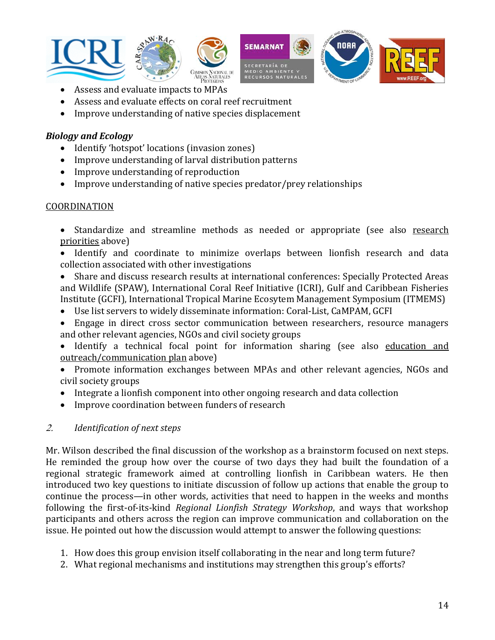







- Assess and evaluate impacts to MPAs
- Assess and evaluate effects on coral reef recruitment •
- Improve understanding of native species displacement

## *Biology and Ecology*

- Identify 'hotspot' locations (invasion zones)
- Improve understanding of larval distribution patterns
- Improve understanding of reproduction
- Improve understanding of native species predator/prey relationships

## COORDINATION

- Standardize and streamline methods as needed or appropriate (see also research priorities above)
- Identify and coordinate to minimize overlaps between lionfish research and data collection associated with other investigations
- Share and discuss research results at international conferences: Specially Protected Areas and Wildlife (SPAW), International Coral Reef Initiative (ICRI), Gulf and Caribbean Fisheries Inst itute (GCFI), International Tropical Marine Ecosytem Management Symposium (ITMEMS)
- Use list servers to widely disseminate information: Coral‐List, CaMPAM, GCFI
- Engage in direct cross sector communication between researchers, resource managers and other relevant agencies, NGOs and civil society groups
- Identify a technical focal point for information sharing (see also education and outreach/communication plan above)
- Promote information exchanges between MPAs and other relevant agencies, NGOs and civi l society groups
- Integrate a lionfish component into other ongoing research and data collection
- Improve coordination between funders of research

## 2. *Identification of next steps*

Mr. Wilson described the final discussion of the workshop as a brainstorm focused on next steps. He reminded the group how over the course of two days they had built the foundation of a regional strategic framework aimed at controlling lionfish in Caribbean waters. He then introduced two key questions to initiate discussion of follow up actions that enable the group to continue the process—in other words, activities that need to happen in the weeks and months following the first‐of‐its‐kind *Regional Lionfish Strategy Workshop*, and ways that workshop participants and others across the region can improve communication and collaboration on the issue. He pointed out how the discussion would attempt to answer the following questions:

- 1. How does this group envision itself collaborating in the near and long term future?
- 2. What regional mechanisms and institutions may strengthen this group's efforts?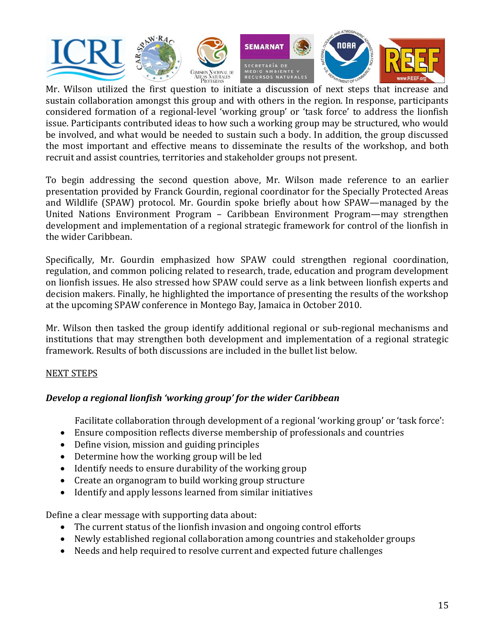

sustain collaboration amongst this group and with others in the region. In response, participants considered formation of a regional‐level 'working group' or 'task force' to address the lionfish issue. Participants contributed ideas to how such a working group may be structured, who would be involved, and what would be needed to sustain such a body. In addition, the group discussed the most important and effective means to disseminate the results of the workshop, and both recruit and assist countries, territories and stakeholder groups not present.

To begin addressing the second question above, Mr. Wilson made reference to an earlier presentation provided by Franck Gourdin, regional coordinator for the Specially Protected Areas and Wildlife (SPAW) protocol. Mr. Gourdin spoke briefly about how SPAW—managed by the United Nations Environment Program – Caribbean Environment Program—may strengthen development and implementation of a regional strategic framework for control of the lionfish in the wider Caribbean.

Specifically, Mr. Gourdin emphasized how SPAW could strengthen regional coordination, regulation, and common policing related to research, trade, education and program development on lionfish issues. He also stressed how SPAW could serve as a link between lionfish experts and decision makers. Finally, he highlighted the importance of presenting the results of the workshop at the upcoming SPAW conference in Montego Bay, Jamaica in October 2010.

Mr. Wilson then tasked the group identify additional regional or sub-regional mechanisms and nstitutions that may strengthen both development and implementation of a regional strategic i framework. Results of both discussions are included in the bullet list below.

## NEXT STEPS

## *Develop a regional lionfish 'working group' for the wider Caribbean*

Facilitate collaboration through development of a regional 'working group' or 'task force':

- Ensure composition reflects diverse membership of professionals and countries
- Define vision, mission and guiding principles
- Determine how the working group will be led
- Identify needs to ensure durability of the working group
- Create an organogram to build working group structure
- Identify and apply lessons learned from similar initiatives

Define a clear message with supporting data about:

- The current status of the lionfish invasion and ongoing control efforts
- Newly established regional collaboration among countries and stakeholder groups
- Needs and help required to resolve current and expected future challenges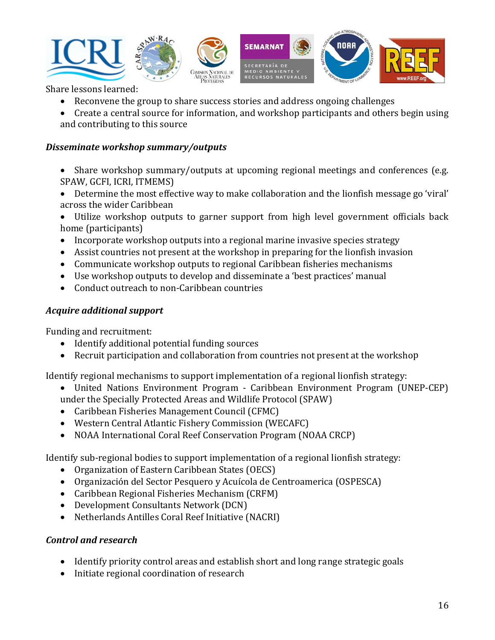

Share lessons learned:

- Reconvene the group to share success stories and address ongoing challenges
- Create a central source for information, and workshop participants and others begin using and contributing to this source

### *Disseminate workshop summary/outputs*

- Share workshop summary/outputs at upcoming regional meetings and conferences (e.g. SPAW, GCFI, ICRI, ITMEMS)
- Determine the most effective way to make collaboration and the lionfish message go 'viral' across the wider Caribbean
- Utilize workshop outputs to garner support from high level government officials back hom e (participants)
- Incorporate workshop outputs into a regional marine invasive species strategy
- Assist countries not present at the workshop in preparing for the lionfish invasion
- Communicate workshop outputs to regional Caribbean fisheries mechanisms
- Use workshop outputs to develop and disseminate a 'best practices' manual
- Conduct outreach to non-Caribbean countries

## *Acquire additional suppo rt*

Fundin g and recruitment:

- Identify additional potential funding sources
- Recruit participation and collaboration from countries not present at the workshop

Identify regional mechanisms to support implementation of a regional lionfish strategy:

- United Nations Environment Program Caribbean Environment Program (UNEP-CEP) under the Specially Protected Areas and Wildlife Protocol (SPAW)
- Caribbean Fisheries Management Council (CFMC)
- Western Central Atlantic Fishery Commission (WECAFC)
- NOAA International Coral Reef Conservation Program (NOAA CRCP)

Identify sub-regional bodies to support implementation of a regional lionfish strategy:

- Organization of Eastern Caribbean States (OECS)
- Organización del Sector Pesquero y Acuícola de Centroamerica (OSPESCA)
- Caribbean Regional Fisheries Mechanism (CRFM)
- Development Consultants Network (DCN)
- Netherlands Antilles Coral Reef Initiative (NACRI)

## *Control and research*

- Identify priority control areas and establish short and long range strategic goals
- Initiate regional coordination of research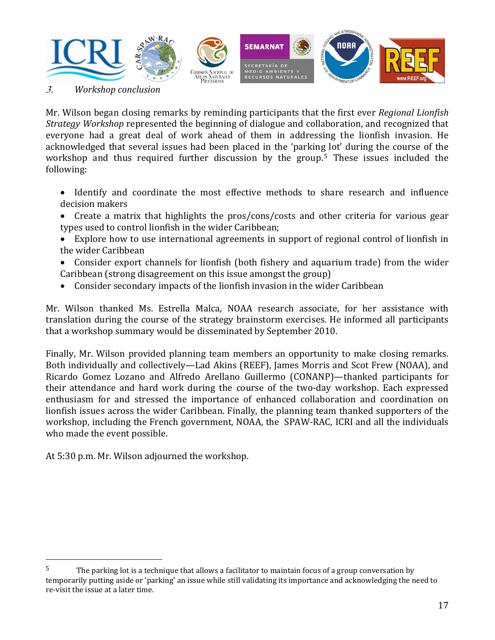

3. *Workshop conclusion*

Mr. Wilson began closing remarks by reminding participants that the first ever *Regional Lionfish Strategy Workshop* represented the beginning of dialogue and collaboration, and recognized that everyone had a great deal of work ahead of them in addressing the lionfish invasion. He acknowledged that several issues had been placed in the 'parkin[g](#page-16-0) lot' during the course of the workshop and thus required further discussion by the group.<sup>5</sup> These issues included the f ollowing:

- Identify and coordinate the most effective methods to share research and influence decision makers
- Create a matrix that highlights the pros/cons/costs and other criteria for various gear types used to control lionfish in the wider Caribbean;
- Explore how to use international agreements in support of regional control of lionfish in the wider Caribbean
- Consider export channels for lionfish (both fishery and aquarium trade) from the wider Car ibbean (strong disagreement on this issue amongst the group)
- Consider secondary impacts of the lionfish invasion in the wider Caribbean

Mr. Wilson thanked Ms. Estrella Malca, NOAA research associate, for her assistance with translation during the course of the strategy brainstorm exercises. He informed all participants that a workshop summary would be disseminated by September 2010.

Finally, Mr. Wilson provided planning team members an opportunity to make closing remarks. Both individually and collectively—Lad Akins (REEF), James Morris and Scot Frew (NOAA), and Ricardo Gomez Lozano and Alfredo Arellano Guillermo (CONANP)—thanked participants for their attendance and hard work during the course of the two-day workshop. Each expressed enthusiasm for and stressed the importance of enhanced collaboration and coordination on lionfish issues across the wider Caribbean. Finally, the planning team thanked supporters of the workshop, including the French government, NOAA, the SPAW‐RAC, ICRI and all the individuals who made the event possible.

At 5:30 p.m. Mr. Wilson adjourned the workshop.

<span id="page-16-0"></span> $5$  The parking lot is a technique that allows a facilitator to maintain focus of a group conversation by temporarily putting aside or 'parking' an issue while still validating its importance and acknowledging the need to re‐visit the issue at a later time.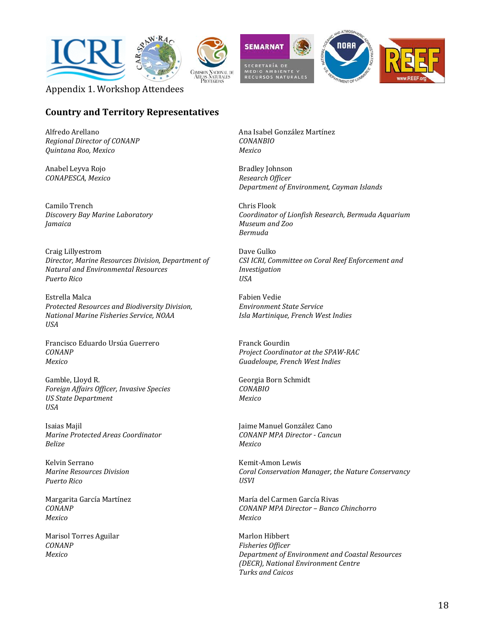









Appendix 1. Workshop Attendees

## **Country and Territory Representatives**

Alfredo Arellano *Regional Director of CONANP Quintana Roo, Mexico*

Anabel Leyva Rojo *CONAPESCA, Mexico*

Camilo Trench *Discovery Bay Marine Laboratory Jamaica* 

Craig Lillyestrom *Director, Marine Resources Division, Department of Natural and Environmental Resources Puerto Rico*

Estrella Malca *Protected Resources and Biodiversity Division, National Marine Fisheries Service, NOAA USA*

Francisco Eduardo Ursúa Guerrero *CONANP Mexico*

Gamble, Lloyd R. *Foreign Affairs Officer, Invasive Species US State Department USA*

Isaias Majil *Marine Protected Areas Coordinator Belize*

Kelvin Serrano *Marine Resources Division Puerto Rico*

Margarita García Martínez *CONANP Mexico*

Marisol Torres Aguilar *CONANP Mexico*

Ana Isabel González Martínez *CONANBIO Mexico*

Bradley Johnson *Research Officer Department of Environment, Cayman Islands*

Chris Flook *Coordinator of Lionfish Research, Bermuda Aquarium Museum and Zoo Bermuda*

Dave Gulko *CSI ICRI, Committee on Coral Reef Enforcement and Investigation USA*

Fabien Vedie *E nvironment State Service I sla Martinique, French West Indies*

Franck Gourdin *Project Coordinator at the SPAWRAC Guadeloupe, French West Indies*

Georgia Born Schmidt *C ONABIO M exico*

Jaime Manuel González Cano *CONANP MPA Director Cancun Mexico*

Kemit‐Amon Lewis *Coral Conservation Manager, the Nature Conservancy USVI*

María del Carmen García Rivas *CONANP MPA Director – Banco Chinchorro Mexico*

Marlon Hibbert *Fisheries Officer Department of Environment and Coastal Resources (DECR), National Environment Centre Turks and Caicos*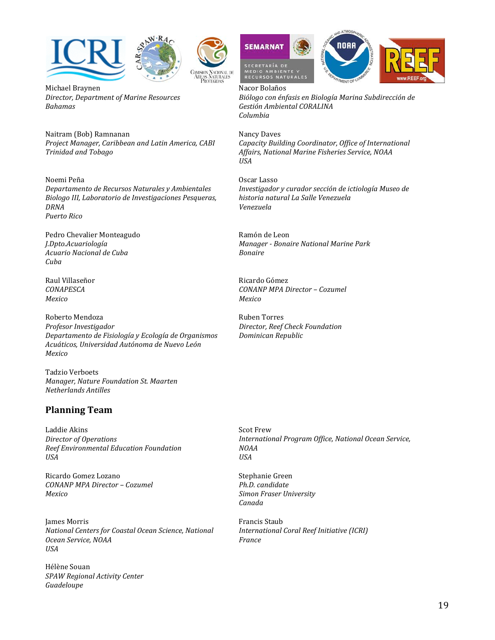



Michael Braynen *D irector, Department of Marine Resources B ahamas*

Naitram (Bob) Ramnanan *P roject Manager, Caribbean and Latin America, CABI T rinidad and Tobago*

#### Noemi Peña

*Departamento de Recursos Naturales y Ambientales Biologo III, Laboratorio de Investigaciones Pesqueras, DRNA Puerto Rico*

Pedro Chevalier Monteagudo *J.Dpto.Acuariología Acuario Nacional de Cuba Cuba*

Raul Villaseñor *CONAPESCA Mexico*

Roberto Mendoza *Profesor Investigador Departamento de Fisiología y Ecología de Organismos Acuáticos, Universidad Autónoma de Nuevo León Mexico*

Tadzio Verboets *M anager, Nature Foundation St. Maarten N etherlands Antilles*

#### **Planning Team**

Laddie Akins *Director of Operations Reef Environmental Education Foundation USA*

Ricardo Gomez Lozano *C ONANP MPA Director – Cozumel M exico*

James Morris *National Centers for Coastal Ocean Science, National Ocean Service, NOAA USA*

Hélène Souan *Guadeloupe SPAW Regional Activity Center*







Nacor Bolaños *Biólogo con énfasis en Biología Marina Subdirección de Gestión Ambiental CORALINA Columbia*

Nancy Daves *Capacity Building Coordinator, Office of International Affairs, National Marine Fisheries Service, NOAA USA*

Oscar Lasso *Investigador y curador sección de ictiología Museo de historia natural La Salle Venezuela Venezuela*

Ramón de Leon *Manager Bonaire National Marine Park Bonaire*

Ricardo Gómez *CONANP MPA Director – Cozumel Mexico*

Ruben Torres *Director, Reef Check Foundation Dominican Republic*

Scot Frew *International Program Office, National Ocean Service, NOAA USA*

Stephanie Green *Ph.D. candidate Simon Fraser University Canada*

Francis Staub *International Coral Reef Initiative (ICRI) France*